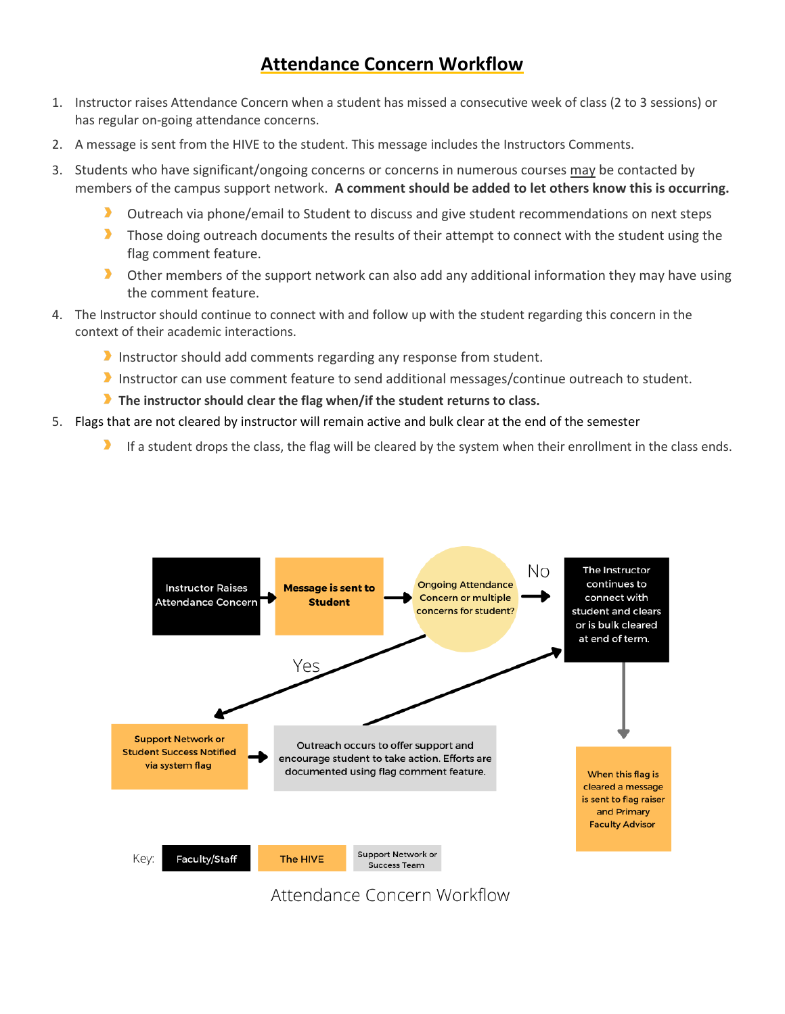# **Attendance Concern Workflow**

- 1. Instructor raises Attendance Concern when a student has missed a consecutive week of class (2 to 3 sessions) or has regular on-going attendance concerns.
- 2. A message is sent from the HIVE to the student. This message includes the Instructors Comments.
- 3. Students who have significant/ongoing concerns or concerns in numerous courses may be contacted by members of the campus support network. **A comment should be added to let others know this is occurring.**
	- Outreach via phone/email to Student to discuss and give student recommendations on next steps
	- $\blacktriangleright$ Those doing outreach documents the results of their attempt to connect with the student using the flag comment feature.
	- $\blacktriangleright$ Other members of the support network can also add any additional information they may have using the comment feature.
- 4. The Instructor should continue to connect with and follow up with the student regarding this concern in the context of their academic interactions.
	- Instructor should add comments regarding any response from student.
	- Instructor can use comment feature to send additional messages/continue outreach to student.
	- **The instructor should clear the flag when/if the student returns to class.**
- 5. Flags that are not cleared by instructor will remain active and bulk clear at the end of the semester
	- If a student drops the class, the flag will be cleared by the system when their enrollment in the class ends.



Attendance Concern Workflow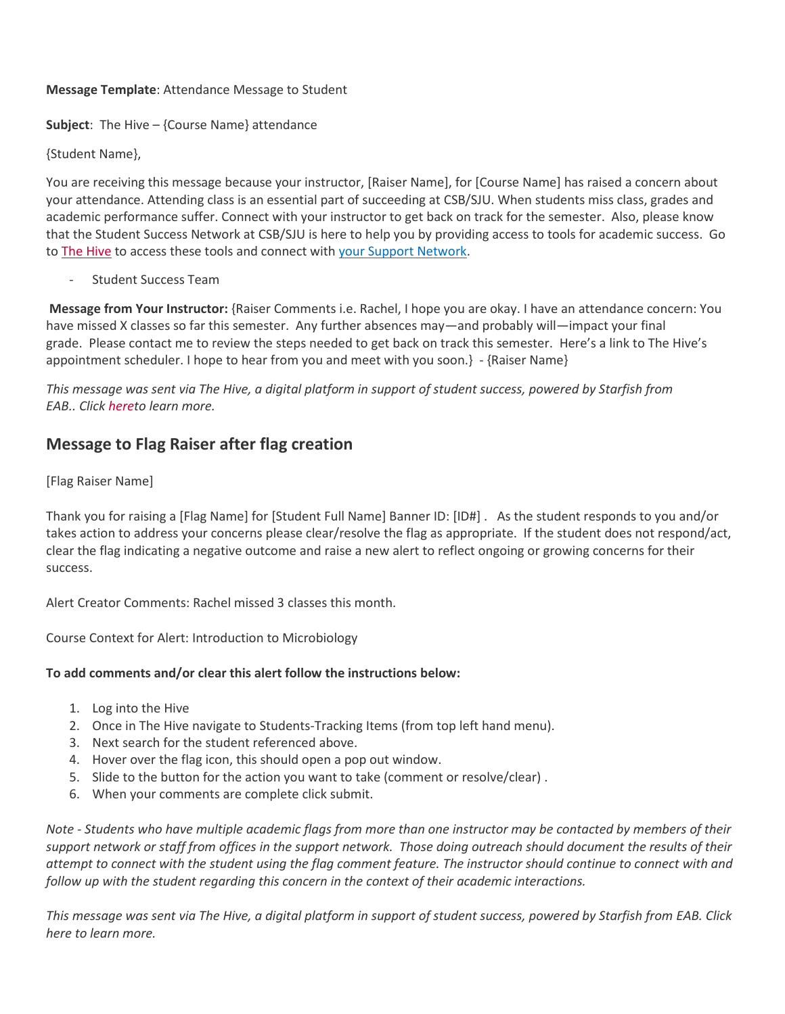#### **Message Template**: Attendance Message to Student

**Subject**: The Hive – {Course Name} attendance

{Student Name},

You are receiving this message because your instructor, [Raiser Name], for [Course Name] has raised a concern about your attendance. Attending class is an essential part of succeeding at CSB/SJU. When students miss class, grades and academic performance suffer. Connect with your instructor to get back on track for the semester. Also, please know that the Student Success Network at CSB/SJU is here to help you by providing access to tools for academic success. Go to [The Hive](https://auth.csbsju.edu/cas/login?service=https%3A%2F%2Fcsbsju.starfishsolutions.com%2Fstarfish-ops%2Fsession%2FcasLogin.html) to access these tools and connect with your Support Network.

Student Success Team

**Message from Your Instructor:** {Raiser Comments i.e. Rachel, I hope you are okay. I have an attendance concern: You have missed X classes so far this semester. Any further absences may—and probably will—impact your final grade. Please contact me to review the steps needed to get back on track this semester. Here's a link to The Hive's appointment scheduler. I hope to hear from you and meet with you soon.} - {Raiser Name}

*This message was sent via The Hive, a digital platform in support of student success, powered by Starfish from EAB.. Click [heret](https://www.csbsju.edu/the-hive/about-the-hive)o learn more.*

## **Message to Flag Raiser after flag creation**

#### [Flag Raiser Name]

Thank you for raising a [Flag Name] for [Student Full Name] Banner ID: [ID#] . As the student responds to you and/or takes action to address your concerns please clear/resolve the flag as appropriate. If the student does not respond/act, clear the flag indicating a negative outcome and raise a new alert to reflect ongoing or growing concerns for their success.

Alert Creator Comments: Rachel missed 3 classes this month.

Course Context for Alert: Introduction to Microbiology

### **To add comments and/or clear this alert follow the instructions below:**

- 1. Log into the Hive
- 2. Once in The Hive navigate to Students-Tracking Items (from top left hand menu).
- 3. Next search for the student referenced above.
- 4. Hover over the flag icon, this should open a pop out window.
- 5. Slide to the button for the action you want to take (comment or resolve/clear) .
- 6. When your comments are complete click submit.

*Note - Students who have multiple academic flags from more than one instructor may be contacted by members of their support network or staff from offices in the support network. Those doing outreach should document the results of their attempt to connect with the student using the flag comment feature. The instructor should continue to connect with and follow up with the student regarding this concern in the context of their academic interactions.*

*This message was sent via The Hive, a digital platform in support of student success, powered by Starfish from EAB. Click here to learn more.*